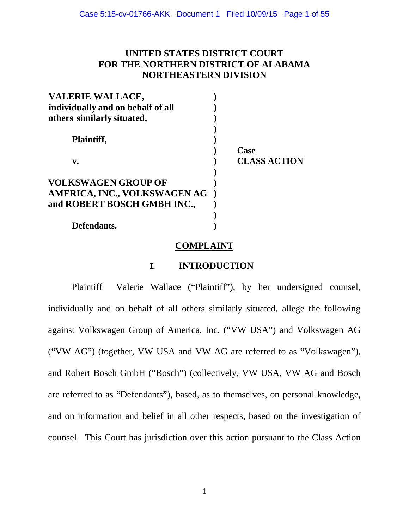## **UNITED STATES DISTRICT COURT FOR THE NORTHERN DISTRICT OF ALABAMA NORTHEASTERN DIVISION**

| <b>VALERIE WALLACE,</b>           |                     |
|-----------------------------------|---------------------|
| individually and on behalf of all |                     |
| others similarly situated,        |                     |
|                                   |                     |
| <b>Plaintiff,</b>                 |                     |
|                                   | Case                |
| V.                                | <b>CLASS ACTION</b> |
|                                   |                     |
| <b>VOLKSWAGEN GROUP OF</b>        |                     |
| AMERICA, INC., VOLKSWAGEN AG      |                     |
| and ROBERT BOSCH GMBH INC.,       |                     |
|                                   |                     |
| Defendants.                       |                     |

### **COMPLAINT**

## **I. INTRODUCTION**

Plaintiff Valerie Wallace ("Plaintiff"), by her undersigned counsel, individually and on behalf of all others similarly situated, allege the following against Volkswagen Group of America, Inc. ("VW USA") and Volkswagen AG ("VW AG") (together, VW USA and VW AG are referred to as "Volkswagen"), and Robert Bosch GmbH ("Bosch") (collectively, VW USA, VW AG and Bosch are referred to as "Defendants"), based, as to themselves, on personal knowledge, and on information and belief in all other respects, based on the investigation of counsel. This Court has jurisdiction over this action pursuant to the Class Action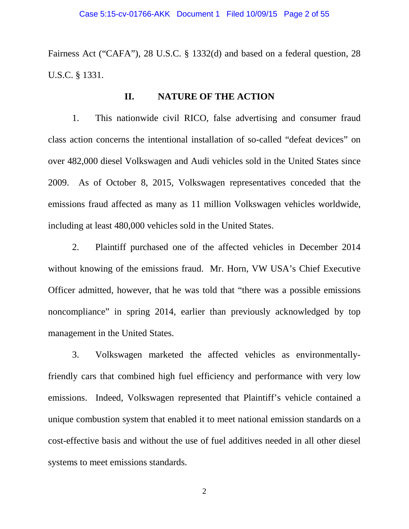Fairness Act ("CAFA"), 28 U.S.C. § 1332(d) and based on a federal question, 28 U.S.C. § 1331.

## **II. NATURE OF THE ACTION**

1. This nationwide civil RICO, false advertising and consumer fraud class action concerns the intentional installation of so-called "defeat devices" on over 482,000 diesel Volkswagen and Audi vehicles sold in the United States since 2009. As of October 8, 2015, Volkswagen representatives conceded that the emissions fraud affected as many as 11 million Volkswagen vehicles worldwide, including at least 480,000 vehicles sold in the United States.

2. Plaintiff purchased one of the affected vehicles in December 2014 without knowing of the emissions fraud. Mr. Horn, VW USA's Chief Executive Officer admitted, however, that he was told that "there was a possible emissions noncompliance" in spring 2014, earlier than previously acknowledged by top management in the United States.

3. Volkswagen marketed the affected vehicles as environmentallyfriendly cars that combined high fuel efficiency and performance with very low emissions. Indeed, Volkswagen represented that Plaintiff's vehicle contained a unique combustion system that enabled it to meet national emission standards on a cost-effective basis and without the use of fuel additives needed in all other diesel systems to meet emissions standards.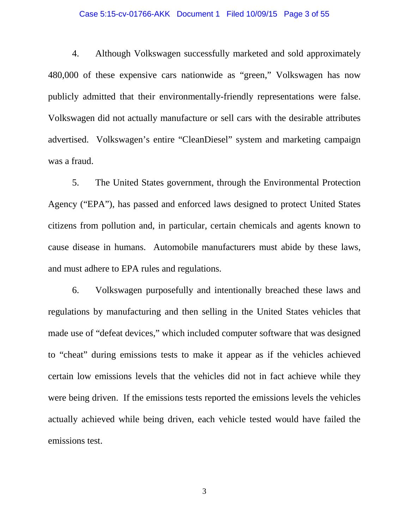### Case 5:15-cv-01766-AKK Document 1 Filed 10/09/15 Page 3 of 55

4. Although Volkswagen successfully marketed and sold approximately 480,000 of these expensive cars nationwide as "green," Volkswagen has now publicly admitted that their environmentally-friendly representations were false. Volkswagen did not actually manufacture or sell cars with the desirable attributes advertised. Volkswagen's entire "CleanDiesel" system and marketing campaign was a fraud.

5. The United States government, through the Environmental Protection Agency ("EPA"), has passed and enforced laws designed to protect United States citizens from pollution and, in particular, certain chemicals and agents known to cause disease in humans. Automobile manufacturers must abide by these laws, and must adhere to EPA rules and regulations.

6. Volkswagen purposefully and intentionally breached these laws and regulations by manufacturing and then selling in the United States vehicles that made use of "defeat devices," which included computer software that was designed to "cheat" during emissions tests to make it appear as if the vehicles achieved certain low emissions levels that the vehicles did not in fact achieve while they were being driven. If the emissions tests reported the emissions levels the vehicles actually achieved while being driven, each vehicle tested would have failed the emissions test.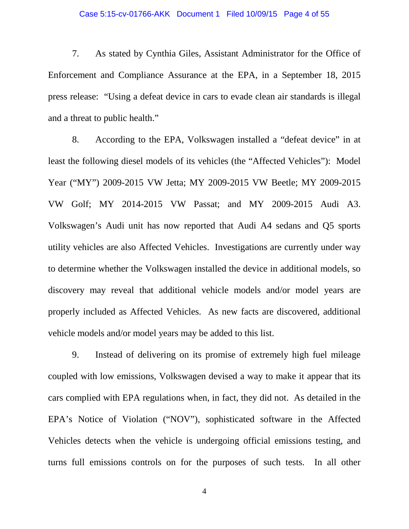7. As stated by Cynthia Giles, Assistant Administrator for the Office of Enforcement and Compliance Assurance at the EPA, in a September 18, 2015 press release: "Using a defeat device in cars to evade clean air standards is illegal and a threat to public health."

8. According to the EPA, Volkswagen installed a "defeat device" in at least the following diesel models of its vehicles (the "Affected Vehicles"): Model Year ("MY") 2009-2015 VW Jetta; MY 2009-2015 VW Beetle; MY 2009-2015 VW Golf; MY 2014-2015 VW Passat; and MY 2009-2015 Audi A3. Volkswagen's Audi unit has now reported that Audi A4 sedans and Q5 sports utility vehicles are also Affected Vehicles. Investigations are currently under way to determine whether the Volkswagen installed the device in additional models, so discovery may reveal that additional vehicle models and/or model years are properly included as Affected Vehicles. As new facts are discovered, additional vehicle models and/or model years may be added to this list.

9. Instead of delivering on its promise of extremely high fuel mileage coupled with low emissions, Volkswagen devised a way to make it appear that its cars complied with EPA regulations when, in fact, they did not. As detailed in the EPA's Notice of Violation ("NOV"), sophisticated software in the Affected Vehicles detects when the vehicle is undergoing official emissions testing, and turns full emissions controls on for the purposes of such tests. In all other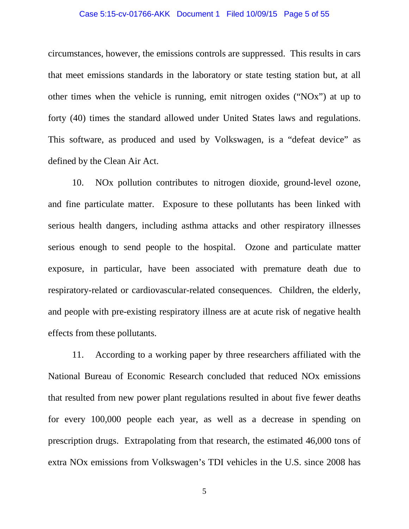### Case 5:15-cv-01766-AKK Document 1 Filed 10/09/15 Page 5 of 55

circumstances, however, the emissions controls are suppressed. This results in cars that meet emissions standards in the laboratory or state testing station but, at all other times when the vehicle is running, emit nitrogen oxides ("NOx") at up to forty (40) times the standard allowed under United States laws and regulations. This software, as produced and used by Volkswagen, is a "defeat device" as defined by the Clean Air Act.

10. NOx pollution contributes to nitrogen dioxide, ground-level ozone, and fine particulate matter. Exposure to these pollutants has been linked with serious health dangers, including asthma attacks and other respiratory illnesses serious enough to send people to the hospital. Ozone and particulate matter exposure, in particular, have been associated with premature death due to respiratory-related or cardiovascular-related consequences. Children, the elderly, and people with pre-existing respiratory illness are at acute risk of negative health effects from these pollutants.

11. According to a working paper by three researchers affiliated with the National Bureau of Economic Research concluded that reduced NOx emissions that resulted from new power plant regulations resulted in about five fewer deaths for every 100,000 people each year, as well as a decrease in spending on prescription drugs. Extrapolating from that research, the estimated 46,000 tons of extra NOx emissions from Volkswagen's TDI vehicles in the U.S. since 2008 has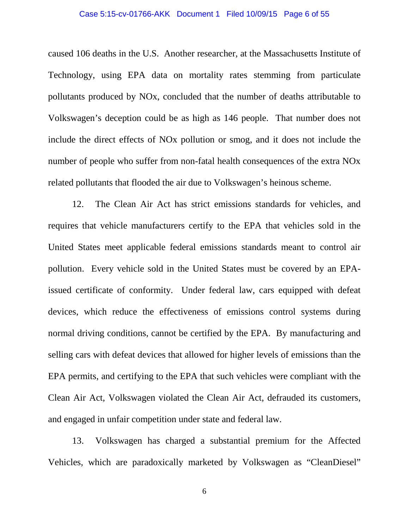### Case 5:15-cv-01766-AKK Document 1 Filed 10/09/15 Page 6 of 55

caused 106 deaths in the U.S. Another researcher, at the Massachusetts Institute of Technology, using EPA data on mortality rates stemming from particulate pollutants produced by NOx, concluded that the number of deaths attributable to Volkswagen's deception could be as high as 146 people. That number does not include the direct effects of NOx pollution or smog, and it does not include the number of people who suffer from non-fatal health consequences of the extra NOx related pollutants that flooded the air due to Volkswagen's heinous scheme.

12. The Clean Air Act has strict emissions standards for vehicles, and requires that vehicle manufacturers certify to the EPA that vehicles sold in the United States meet applicable federal emissions standards meant to control air pollution. Every vehicle sold in the United States must be covered by an EPAissued certificate of conformity. Under federal law, cars equipped with defeat devices, which reduce the effectiveness of emissions control systems during normal driving conditions, cannot be certified by the EPA. By manufacturing and selling cars with defeat devices that allowed for higher levels of emissions than the EPA permits, and certifying to the EPA that such vehicles were compliant with the Clean Air Act, Volkswagen violated the Clean Air Act, defrauded its customers, and engaged in unfair competition under state and federal law.

13. Volkswagen has charged a substantial premium for the Affected Vehicles, which are paradoxically marketed by Volkswagen as "CleanDiesel"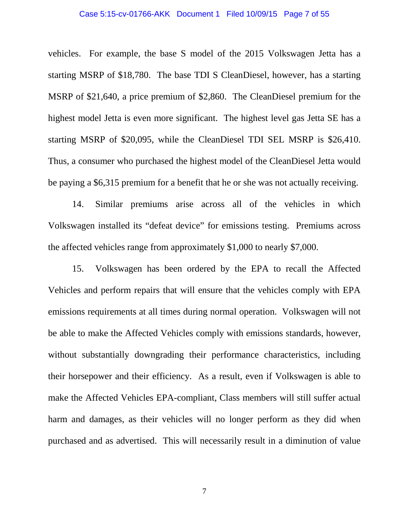### Case 5:15-cv-01766-AKK Document 1 Filed 10/09/15 Page 7 of 55

vehicles. For example, the base S model of the 2015 Volkswagen Jetta has a starting MSRP of \$18,780. The base TDI S CleanDiesel, however, has a starting MSRP of \$21,640, a price premium of \$2,860. The CleanDiesel premium for the highest model Jetta is even more significant. The highest level gas Jetta SE has a starting MSRP of \$20,095, while the CleanDiesel TDI SEL MSRP is \$26,410. Thus, a consumer who purchased the highest model of the CleanDiesel Jetta would be paying a \$6,315 premium for a benefit that he or she was not actually receiving.

14. Similar premiums arise across all of the vehicles in which Volkswagen installed its "defeat device" for emissions testing. Premiums across the affected vehicles range from approximately \$1,000 to nearly \$7,000.

15. Volkswagen has been ordered by the EPA to recall the Affected Vehicles and perform repairs that will ensure that the vehicles comply with EPA emissions requirements at all times during normal operation. Volkswagen will not be able to make the Affected Vehicles comply with emissions standards, however, without substantially downgrading their performance characteristics, including their horsepower and their efficiency. As a result, even if Volkswagen is able to make the Affected Vehicles EPA-compliant, Class members will still suffer actual harm and damages, as their vehicles will no longer perform as they did when purchased and as advertised. This will necessarily result in a diminution of value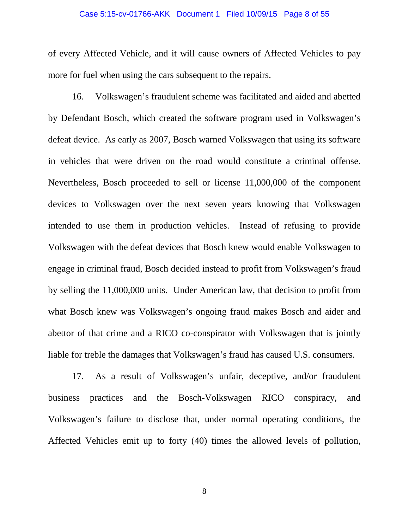### Case 5:15-cv-01766-AKK Document 1 Filed 10/09/15 Page 8 of 55

of every Affected Vehicle, and it will cause owners of Affected Vehicles to pay more for fuel when using the cars subsequent to the repairs.

16. Volkswagen's fraudulent scheme was facilitated and aided and abetted by Defendant Bosch, which created the software program used in Volkswagen's defeat device. As early as 2007, Bosch warned Volkswagen that using its software in vehicles that were driven on the road would constitute a criminal offense. Nevertheless, Bosch proceeded to sell or license 11,000,000 of the component devices to Volkswagen over the next seven years knowing that Volkswagen intended to use them in production vehicles. Instead of refusing to provide Volkswagen with the defeat devices that Bosch knew would enable Volkswagen to engage in criminal fraud, Bosch decided instead to profit from Volkswagen's fraud by selling the 11,000,000 units. Under American law, that decision to profit from what Bosch knew was Volkswagen's ongoing fraud makes Bosch and aider and abettor of that crime and a RICO co-conspirator with Volkswagen that is jointly liable for treble the damages that Volkswagen's fraud has caused U.S. consumers.

17. As a result of Volkswagen's unfair, deceptive, and/or fraudulent business practices and the Bosch-Volkswagen RICO conspiracy, and Volkswagen's failure to disclose that, under normal operating conditions, the Affected Vehicles emit up to forty (40) times the allowed levels of pollution,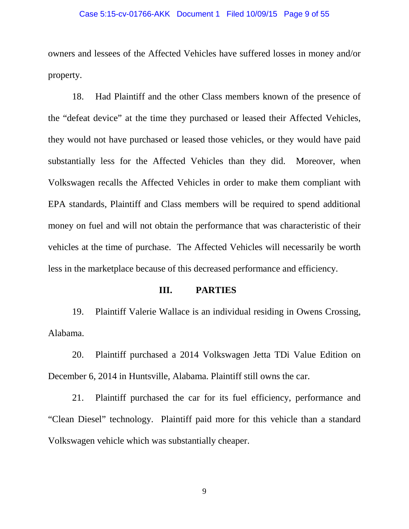### Case 5:15-cv-01766-AKK Document 1 Filed 10/09/15 Page 9 of 55

owners and lessees of the Affected Vehicles have suffered losses in money and/or property.

18. Had Plaintiff and the other Class members known of the presence of the "defeat device" at the time they purchased or leased their Affected Vehicles, they would not have purchased or leased those vehicles, or they would have paid substantially less for the Affected Vehicles than they did. Moreover, when Volkswagen recalls the Affected Vehicles in order to make them compliant with EPA standards, Plaintiff and Class members will be required to spend additional money on fuel and will not obtain the performance that was characteristic of their vehicles at the time of purchase. The Affected Vehicles will necessarily be worth less in the marketplace because of this decreased performance and efficiency.

### **III. PARTIES**

19. Plaintiff Valerie Wallace is an individual residing in Owens Crossing, Alabama.

20. Plaintiff purchased a 2014 Volkswagen Jetta TDi Value Edition on December 6, 2014 in Huntsville, Alabama. Plaintiff still owns the car.

21. Plaintiff purchased the car for its fuel efficiency, performance and "Clean Diesel" technology. Plaintiff paid more for this vehicle than a standard Volkswagen vehicle which was substantially cheaper.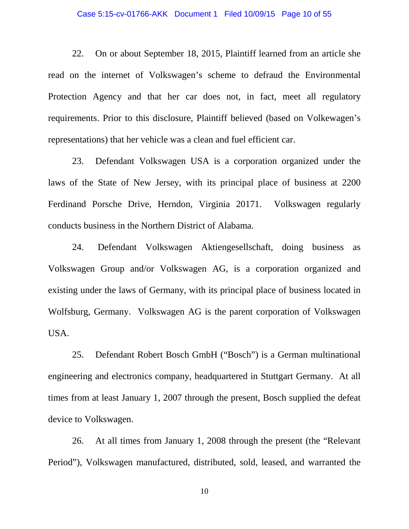### Case 5:15-cv-01766-AKK Document 1 Filed 10/09/15 Page 10 of 55

22. On or about September 18, 2015, Plaintiff learned from an article she read on the internet of Volkswagen's scheme to defraud the Environmental Protection Agency and that her car does not, in fact, meet all regulatory requirements. Prior to this disclosure, Plaintiff believed (based on Volkewagen's representations) that her vehicle was a clean and fuel efficient car.

23. Defendant Volkswagen USA is a corporation organized under the laws of the State of New Jersey, with its principal place of business at 2200 Ferdinand Porsche Drive, Herndon, Virginia 20171. Volkswagen regularly conducts business in the Northern District of Alabama.

24. Defendant Volkswagen Aktiengesellschaft, doing business as Volkswagen Group and/or Volkswagen AG, is a corporation organized and existing under the laws of Germany, with its principal place of business located in Wolfsburg, Germany. Volkswagen AG is the parent corporation of Volkswagen USA.

25. Defendant Robert Bosch GmbH ("Bosch") is a German multinational engineering and electronics company, headquartered in Stuttgart Germany. At all times from at least January 1, 2007 through the present, Bosch supplied the defeat device to Volkswagen.

26. At all times from January 1, 2008 through the present (the "Relevant Period"), Volkswagen manufactured, distributed, sold, leased, and warranted the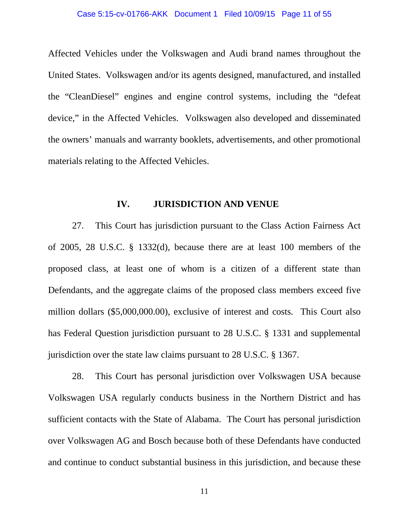### Case 5:15-cv-01766-AKK Document 1 Filed 10/09/15 Page 11 of 55

Affected Vehicles under the Volkswagen and Audi brand names throughout the United States. Volkswagen and/or its agents designed, manufactured, and installed the "CleanDiesel" engines and engine control systems, including the "defeat device," in the Affected Vehicles. Volkswagen also developed and disseminated the owners' manuals and warranty booklets, advertisements, and other promotional materials relating to the Affected Vehicles.

### **IV. JURISDICTION AND VENUE**

27. This Court has jurisdiction pursuant to the Class Action Fairness Act of 2005, 28 U.S.C. § 1332(d), because there are at least 100 members of the proposed class, at least one of whom is a citizen of a different state than Defendants, and the aggregate claims of the proposed class members exceed five million dollars (\$5,000,000.00), exclusive of interest and costs. This Court also has Federal Question jurisdiction pursuant to 28 U.S.C. § 1331 and supplemental jurisdiction over the state law claims pursuant to 28 U.S.C. § 1367.

28. This Court has personal jurisdiction over Volkswagen USA because Volkswagen USA regularly conducts business in the Northern District and has sufficient contacts with the State of Alabama. The Court has personal jurisdiction over Volkswagen AG and Bosch because both of these Defendants have conducted and continue to conduct substantial business in this jurisdiction, and because these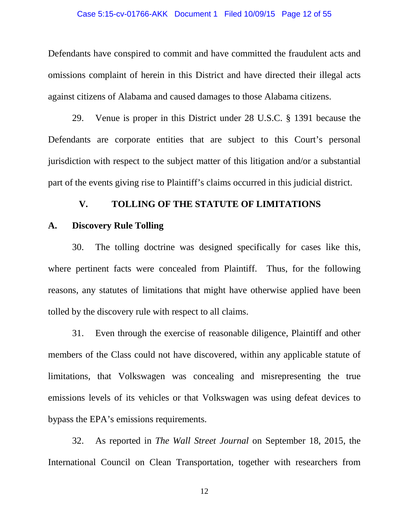### Case 5:15-cv-01766-AKK Document 1 Filed 10/09/15 Page 12 of 55

Defendants have conspired to commit and have committed the fraudulent acts and omissions complaint of herein in this District and have directed their illegal acts against citizens of Alabama and caused damages to those Alabama citizens.

29. Venue is proper in this District under 28 U.S.C. § 1391 because the Defendants are corporate entities that are subject to this Court's personal jurisdiction with respect to the subject matter of this litigation and/or a substantial part of the events giving rise to Plaintiff's claims occurred in this judicial district.

## **V. TOLLING OF THE STATUTE OF LIMITATIONS**

### **A. Discovery Rule Tolling**

30. The tolling doctrine was designed specifically for cases like this, where pertinent facts were concealed from Plaintiff. Thus, for the following reasons, any statutes of limitations that might have otherwise applied have been tolled by the discovery rule with respect to all claims.

31. Even through the exercise of reasonable diligence, Plaintiff and other members of the Class could not have discovered, within any applicable statute of limitations, that Volkswagen was concealing and misrepresenting the true emissions levels of its vehicles or that Volkswagen was using defeat devices to bypass the EPA's emissions requirements.

32. As reported in *The Wall Street Journal* on September 18, 2015, the International Council on Clean Transportation, together with researchers from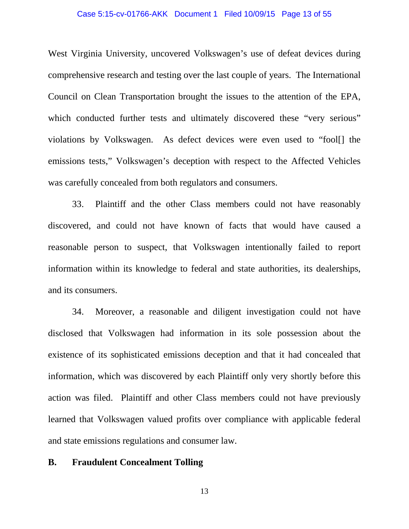### Case 5:15-cv-01766-AKK Document 1 Filed 10/09/15 Page 13 of 55

West Virginia University, uncovered Volkswagen's use of defeat devices during comprehensive research and testing over the last couple of years. The International Council on Clean Transportation brought the issues to the attention of the EPA, which conducted further tests and ultimately discovered these "very serious" violations by Volkswagen. As defect devices were even used to "fool[] the emissions tests," Volkswagen's deception with respect to the Affected Vehicles was carefully concealed from both regulators and consumers.

33. Plaintiff and the other Class members could not have reasonably discovered, and could not have known of facts that would have caused a reasonable person to suspect, that Volkswagen intentionally failed to report information within its knowledge to federal and state authorities, its dealerships, and its consumers.

34. Moreover, a reasonable and diligent investigation could not have disclosed that Volkswagen had information in its sole possession about the existence of its sophisticated emissions deception and that it had concealed that information, which was discovered by each Plaintiff only very shortly before this action was filed. Plaintiff and other Class members could not have previously learned that Volkswagen valued profits over compliance with applicable federal and state emissions regulations and consumer law.

### **B. Fraudulent Concealment Tolling**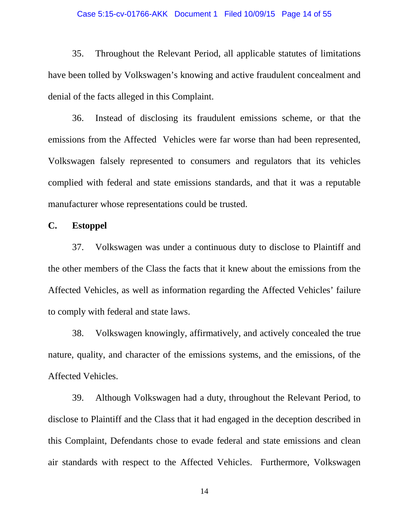### Case 5:15-cv-01766-AKK Document 1 Filed 10/09/15 Page 14 of 55

35. Throughout the Relevant Period, all applicable statutes of limitations have been tolled by Volkswagen's knowing and active fraudulent concealment and denial of the facts alleged in this Complaint.

36. Instead of disclosing its fraudulent emissions scheme, or that the emissions from the Affected Vehicles were far worse than had been represented, Volkswagen falsely represented to consumers and regulators that its vehicles complied with federal and state emissions standards, and that it was a reputable manufacturer whose representations could be trusted.

**C. Estoppel**

37. Volkswagen was under a continuous duty to disclose to Plaintiff and the other members of the Class the facts that it knew about the emissions from the Affected Vehicles, as well as information regarding the Affected Vehicles' failure to comply with federal and state laws.

38. Volkswagen knowingly, affirmatively, and actively concealed the true nature, quality, and character of the emissions systems, and the emissions, of the Affected Vehicles.

39. Although Volkswagen had a duty, throughout the Relevant Period, to disclose to Plaintiff and the Class that it had engaged in the deception described in this Complaint, Defendants chose to evade federal and state emissions and clean air standards with respect to the Affected Vehicles. Furthermore, Volkswagen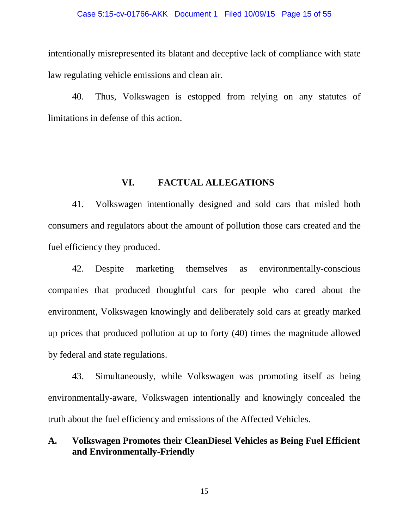### Case 5:15-cv-01766-AKK Document 1 Filed 10/09/15 Page 15 of 55

intentionally misrepresented its blatant and deceptive lack of compliance with state law regulating vehicle emissions and clean air.

40. Thus, Volkswagen is estopped from relying on any statutes of limitations in defense of this action.

### **VI. FACTUAL ALLEGATIONS**

41. Volkswagen intentionally designed and sold cars that misled both consumers and regulators about the amount of pollution those cars created and the fuel efficiency they produced.

42. Despite marketing themselves as environmentally-conscious companies that produced thoughtful cars for people who cared about the environment, Volkswagen knowingly and deliberately sold cars at greatly marked up prices that produced pollution at up to forty (40) times the magnitude allowed by federal and state regulations.

43. Simultaneously, while Volkswagen was promoting itself as being environmentally-aware, Volkswagen intentionally and knowingly concealed the truth about the fuel efficiency and emissions of the Affected Vehicles.

## **A. Volkswagen Promotes their CleanDiesel Vehicles as Being Fuel Efficient and Environmentally-Friendly**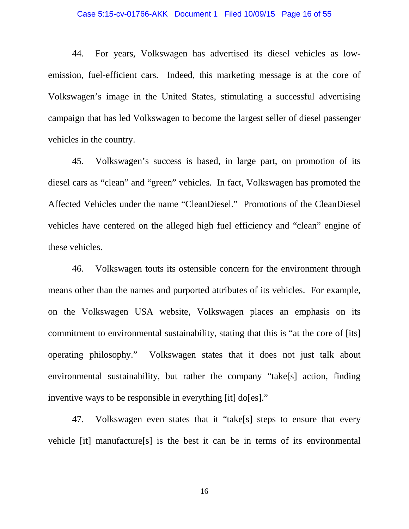### Case 5:15-cv-01766-AKK Document 1 Filed 10/09/15 Page 16 of 55

44. For years, Volkswagen has advertised its diesel vehicles as lowemission, fuel-efficient cars. Indeed, this marketing message is at the core of Volkswagen's image in the United States, stimulating a successful advertising campaign that has led Volkswagen to become the largest seller of diesel passenger vehicles in the country.

45. Volkswagen's success is based, in large part, on promotion of its diesel cars as "clean" and "green" vehicles. In fact, Volkswagen has promoted the Affected Vehicles under the name "CleanDiesel." Promotions of the CleanDiesel vehicles have centered on the alleged high fuel efficiency and "clean" engine of these vehicles.

46. Volkswagen touts its ostensible concern for the environment through means other than the names and purported attributes of its vehicles. For example, on the Volkswagen USA website, Volkswagen places an emphasis on its commitment to environmental sustainability, stating that this is "at the core of [its] operating philosophy." Volkswagen states that it does not just talk about environmental sustainability, but rather the company "take[s] action, finding inventive ways to be responsible in everything [it] do[es]."

47. Volkswagen even states that it "take[s] steps to ensure that every vehicle [it] manufacture[s] is the best it can be in terms of its environmental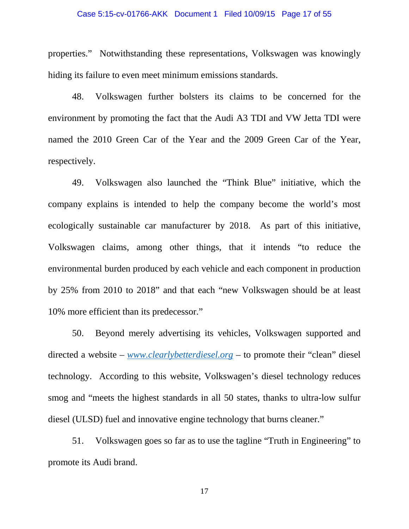### Case 5:15-cv-01766-AKK Document 1 Filed 10/09/15 Page 17 of 55

properties." Notwithstanding these representations, Volkswagen was knowingly hiding its failure to even meet minimum emissions standards.

48. Volkswagen further bolsters its claims to be concerned for the environment by promoting the fact that the Audi A3 TDI and VW Jetta TDI were named the 2010 Green Car of the Year and the 2009 Green Car of the Year, respectively.

49. Volkswagen also launched the "Think Blue" initiative, which the company explains is intended to help the company become the world's most ecologically sustainable car manufacturer by 2018. As part of this initiative, Volkswagen claims, among other things, that it intends "to reduce the environmental burden produced by each vehicle and each component in production by 25% from 2010 to 2018" and that each "new Volkswagen should be at least 10% more efficient than its predecessor."

50. Beyond merely advertising its vehicles, Volkswagen supported and directed a website – *[www.clearlybetterdiesel.org](http://www.clearlybetterdiesel.org/)* – to promote their "clean" diesel technology. According to this website, Volkswagen's diesel technology reduces smog and "meets the highest standards in all 50 states, thanks to ultra-low sulfur diesel (ULSD) fuel and innovative engine technology that burns cleaner."

51. Volkswagen goes so far as to use the tagline "Truth in Engineering" to promote its Audi brand.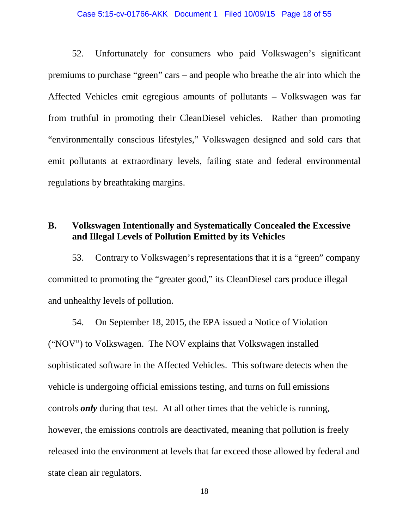### Case 5:15-cv-01766-AKK Document 1 Filed 10/09/15 Page 18 of 55

52. Unfortunately for consumers who paid Volkswagen's significant premiums to purchase "green" cars – and people who breathe the air into which the Affected Vehicles emit egregious amounts of pollutants – Volkswagen was far from truthful in promoting their CleanDiesel vehicles. Rather than promoting "environmentally conscious lifestyles," Volkswagen designed and sold cars that emit pollutants at extraordinary levels, failing state and federal environmental regulations by breathtaking margins.

## **B. Volkswagen Intentionally and Systematically Concealed the Excessive and Illegal Levels of Pollution Emitted by its Vehicles**

53. Contrary to Volkswagen's representations that it is a "green" company committed to promoting the "greater good," its CleanDiesel cars produce illegal and unhealthy levels of pollution.

54. On September 18, 2015, the EPA issued a Notice of Violation ("NOV") to Volkswagen. The NOV explains that Volkswagen installed sophisticated software in the Affected Vehicles. This software detects when the vehicle is undergoing official emissions testing, and turns on full emissions controls *only* during that test. At all other times that the vehicle is running, however, the emissions controls are deactivated, meaning that pollution is freely released into the environment at levels that far exceed those allowed by federal and state clean air regulators.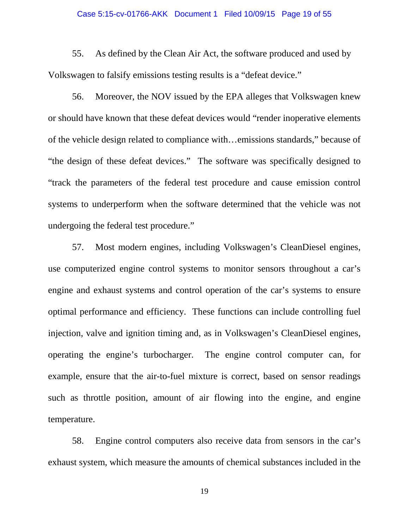### Case 5:15-cv-01766-AKK Document 1 Filed 10/09/15 Page 19 of 55

55. As defined by the Clean Air Act, the software produced and used by Volkswagen to falsify emissions testing results is a "defeat device."

56. Moreover, the NOV issued by the EPA alleges that Volkswagen knew or should have known that these defeat devices would "render inoperative elements of the vehicle design related to compliance with…emissions standards," because of "the design of these defeat devices." The software was specifically designed to "track the parameters of the federal test procedure and cause emission control systems to underperform when the software determined that the vehicle was not undergoing the federal test procedure."

57. Most modern engines, including Volkswagen's CleanDiesel engines, use computerized engine control systems to monitor sensors throughout a car's engine and exhaust systems and control operation of the car's systems to ensure optimal performance and efficiency. These functions can include controlling fuel injection, valve and ignition timing and, as in Volkswagen's CleanDiesel engines, operating the engine's turbocharger. The engine control computer can, for example, ensure that the air-to-fuel mixture is correct, based on sensor readings such as throttle position, amount of air flowing into the engine, and engine temperature.

58. Engine control computers also receive data from sensors in the car's exhaust system, which measure the amounts of chemical substances included in the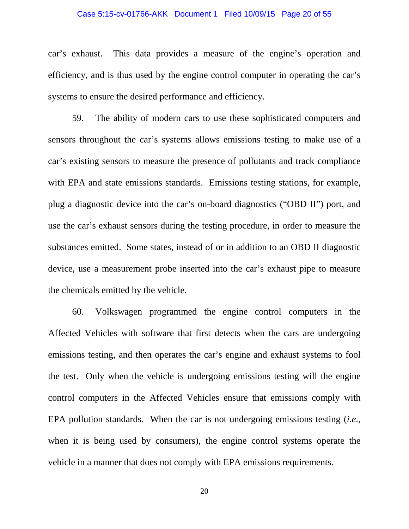### Case 5:15-cv-01766-AKK Document 1 Filed 10/09/15 Page 20 of 55

car's exhaust. This data provides a measure of the engine's operation and efficiency, and is thus used by the engine control computer in operating the car's systems to ensure the desired performance and efficiency.

59. The ability of modern cars to use these sophisticated computers and sensors throughout the car's systems allows emissions testing to make use of a car's existing sensors to measure the presence of pollutants and track compliance with EPA and state emissions standards. Emissions testing stations, for example, plug a diagnostic device into the car's on-board diagnostics ("OBD II") port, and use the car's exhaust sensors during the testing procedure, in order to measure the substances emitted. Some states, instead of or in addition to an OBD II diagnostic device, use a measurement probe inserted into the car's exhaust pipe to measure the chemicals emitted by the vehicle.

60. Volkswagen programmed the engine control computers in the Affected Vehicles with software that first detects when the cars are undergoing emissions testing, and then operates the car's engine and exhaust systems to fool the test. Only when the vehicle is undergoing emissions testing will the engine control computers in the Affected Vehicles ensure that emissions comply with EPA pollution standards. When the car is not undergoing emissions testing (*i.e.*, when it is being used by consumers), the engine control systems operate the vehicle in a manner that does not comply with EPA emissions requirements.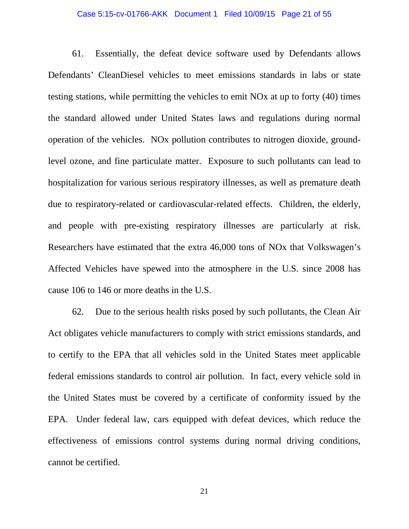### Case 5:15-cv-01766-AKK Document 1 Filed 10/09/15 Page 21 of 55

61. Essentially, the defeat device software used by Defendants allows Defendants' CleanDiesel vehicles to meet emissions standards in labs or state testing stations, while permitting the vehicles to emit NOx at up to forty (40) times the standard allowed under United States laws and regulations during normal operation of the vehicles. NOx pollution contributes to nitrogen dioxide, groundlevel ozone, and fine particulate matter. Exposure to such pollutants can lead to hospitalization for various serious respiratory illnesses, as well as premature death due to respiratory-related or cardiovascular-related effects. Children, the elderly, and people with pre-existing respiratory illnesses are particularly at risk. Researchers have estimated that the extra 46,000 tons of NOx that Volkswagen's Affected Vehicles have spewed into the atmosphere in the U.S. since 2008 has cause 106 to 146 or more deaths in the U.S.

62. Due to the serious health risks posed by such pollutants, the Clean Air Act obligates vehicle manufacturers to comply with strict emissions standards, and to certify to the EPA that all vehicles sold in the United States meet applicable federal emissions standards to control air pollution. In fact, every vehicle sold in the United States must be covered by a certificate of conformity issued by the EPA. Under federal law, cars equipped with defeat devices, which reduce the effectiveness of emissions control systems during normal driving conditions, cannot be certified.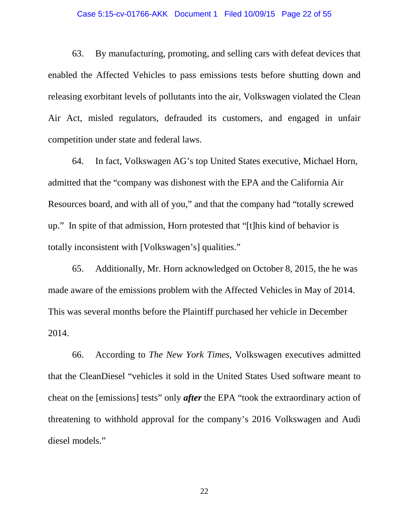### Case 5:15-cv-01766-AKK Document 1 Filed 10/09/15 Page 22 of 55

63. By manufacturing, promoting, and selling cars with defeat devices that enabled the Affected Vehicles to pass emissions tests before shutting down and releasing exorbitant levels of pollutants into the air, Volkswagen violated the Clean Air Act, misled regulators, defrauded its customers, and engaged in unfair competition under state and federal laws.

64. In fact, Volkswagen AG's top United States executive, Michael Horn, admitted that the "company was dishonest with the EPA and the California Air Resources board, and with all of you," and that the company had "totally screwed up." In spite of that admission, Horn protested that "[t]his kind of behavior is totally inconsistent with [Volkswagen's] qualities."

65. Additionally, Mr. Horn acknowledged on October 8, 2015, the he was made aware of the emissions problem with the Affected Vehicles in May of 2014. This was several months before the Plaintiff purchased her vehicle in December 2014.

66. According to *The New York Times*, Volkswagen executives admitted that the CleanDiesel "vehicles it sold in the United States Used software meant to cheat on the [emissions] tests" only *after* the EPA "took the extraordinary action of threatening to withhold approval for the company's 2016 Volkswagen and Audi diesel models."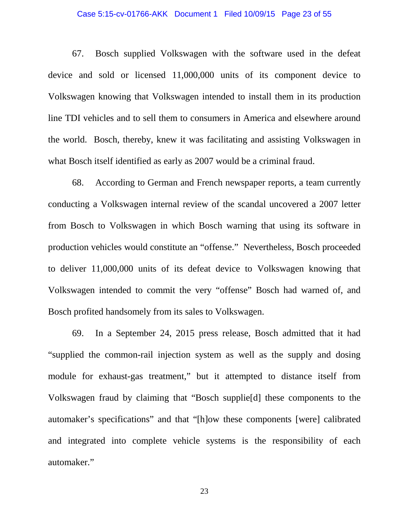### Case 5:15-cv-01766-AKK Document 1 Filed 10/09/15 Page 23 of 55

67. Bosch supplied Volkswagen with the software used in the defeat device and sold or licensed 11,000,000 units of its component device to Volkswagen knowing that Volkswagen intended to install them in its production line TDI vehicles and to sell them to consumers in America and elsewhere around the world. Bosch, thereby, knew it was facilitating and assisting Volkswagen in what Bosch itself identified as early as 2007 would be a criminal fraud.

68. According to German and French newspaper reports, a team currently conducting a Volkswagen internal review of the scandal uncovered a 2007 letter from Bosch to Volkswagen in which Bosch warning that using its software in production vehicles would constitute an "offense." Nevertheless, Bosch proceeded to deliver 11,000,000 units of its defeat device to Volkswagen knowing that Volkswagen intended to commit the very "offense" Bosch had warned of, and Bosch profited handsomely from its sales to Volkswagen.

69. In a September 24, 2015 press release, Bosch admitted that it had "supplied the common-rail injection system as well as the supply and dosing module for exhaust-gas treatment," but it attempted to distance itself from Volkswagen fraud by claiming that "Bosch supplie[d] these components to the automaker's specifications" and that "[h]ow these components [were] calibrated and integrated into complete vehicle systems is the responsibility of each automaker."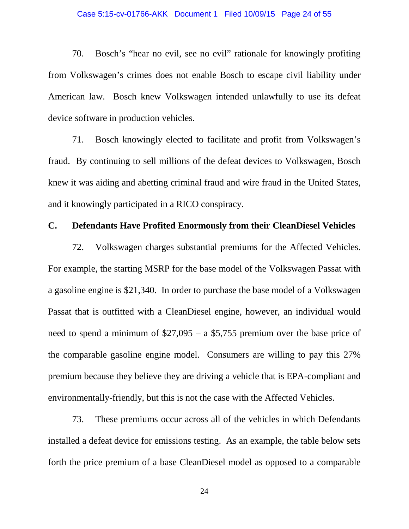### Case 5:15-cv-01766-AKK Document 1 Filed 10/09/15 Page 24 of 55

70. Bosch's "hear no evil, see no evil" rationale for knowingly profiting from Volkswagen's crimes does not enable Bosch to escape civil liability under American law. Bosch knew Volkswagen intended unlawfully to use its defeat device software in production vehicles.

71. Bosch knowingly elected to facilitate and profit from Volkswagen's fraud. By continuing to sell millions of the defeat devices to Volkswagen, Bosch knew it was aiding and abetting criminal fraud and wire fraud in the United States, and it knowingly participated in a RICO conspiracy.

## **C. Defendants Have Profited Enormously from their CleanDiesel Vehicles**

72. Volkswagen charges substantial premiums for the Affected Vehicles. For example, the starting MSRP for the base model of the Volkswagen Passat with a gasoline engine is \$21,340. In order to purchase the base model of a Volkswagen Passat that is outfitted with a CleanDiesel engine, however, an individual would need to spend a minimum of \$27,095 – a \$5,755 premium over the base price of the comparable gasoline engine model. Consumers are willing to pay this 27% premium because they believe they are driving a vehicle that is EPA-compliant and environmentally-friendly, but this is not the case with the Affected Vehicles.

73. These premiums occur across all of the vehicles in which Defendants installed a defeat device for emissions testing. As an example, the table below sets forth the price premium of a base CleanDiesel model as opposed to a comparable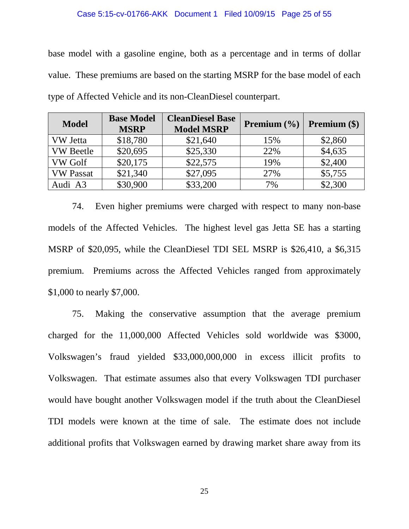### Case 5:15-cv-01766-AKK Document 1 Filed 10/09/15 Page 25 of 55

base model with a gasoline engine, both as a percentage and in terms of dollar value. These premiums are based on the starting MSRP for the base model of each type of Affected Vehicle and its non-CleanDiesel counterpart.

| <b>Model</b>     | <b>Base Model</b><br><b>MSRP</b> | <b>CleanDiesel Base</b><br><b>Model MSRP</b> | <b>Premium</b> $(\frac{6}{6})$ | <b>Premium</b> $(\$)$ |
|------------------|----------------------------------|----------------------------------------------|--------------------------------|-----------------------|
| <b>VW</b> Jetta  | \$18,780                         | \$21,640                                     | 15%                            | \$2,860               |
| <b>VW</b> Beetle | \$20,695                         | \$25,330                                     | 22%                            | \$4,635               |
| <b>VW Golf</b>   | \$20,175                         | \$22,575                                     | 19%                            | \$2,400               |
| <b>VW Passat</b> | \$21,340                         | \$27,095                                     | 27%                            | \$5,755               |
| Audi A3          | \$30,900                         | \$33,200                                     | 7%                             | \$2,300               |

74. Even higher premiums were charged with respect to many non-base models of the Affected Vehicles. The highest level gas Jetta SE has a starting MSRP of \$20,095, while the CleanDiesel TDI SEL MSRP is \$26,410, a \$6,315 premium. Premiums across the Affected Vehicles ranged from approximately \$1,000 to nearly \$7,000.

75. Making the conservative assumption that the average premium charged for the 11,000,000 Affected Vehicles sold worldwide was \$3000, Volkswagen's fraud yielded \$33,000,000,000 in excess illicit profits to Volkswagen. That estimate assumes also that every Volkswagen TDI purchaser would have bought another Volkswagen model if the truth about the CleanDiesel TDI models were known at the time of sale. The estimate does not include additional profits that Volkswagen earned by drawing market share away from its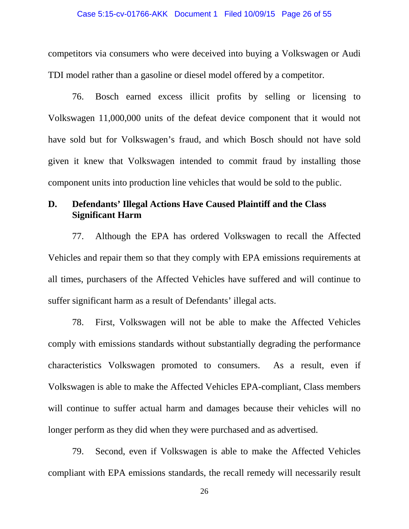#### Case 5:15-cv-01766-AKK Document 1 Filed 10/09/15 Page 26 of 55

competitors via consumers who were deceived into buying a Volkswagen or Audi TDI model rather than a gasoline or diesel model offered by a competitor.

76. Bosch earned excess illicit profits by selling or licensing to Volkswagen 11,000,000 units of the defeat device component that it would not have sold but for Volkswagen's fraud, and which Bosch should not have sold given it knew that Volkswagen intended to commit fraud by installing those component units into production line vehicles that would be sold to the public.

## **D. Defendants' Illegal Actions Have Caused Plaintiff and the Class Significant Harm**

77. Although the EPA has ordered Volkswagen to recall the Affected Vehicles and repair them so that they comply with EPA emissions requirements at all times, purchasers of the Affected Vehicles have suffered and will continue to suffer significant harm as a result of Defendants' illegal acts.

78. First, Volkswagen will not be able to make the Affected Vehicles comply with emissions standards without substantially degrading the performance characteristics Volkswagen promoted to consumers. As a result, even if Volkswagen is able to make the Affected Vehicles EPA-compliant, Class members will continue to suffer actual harm and damages because their vehicles will no longer perform as they did when they were purchased and as advertised.

79. Second, even if Volkswagen is able to make the Affected Vehicles compliant with EPA emissions standards, the recall remedy will necessarily result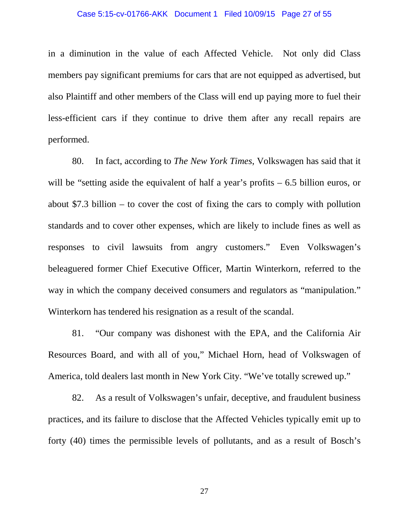### Case 5:15-cv-01766-AKK Document 1 Filed 10/09/15 Page 27 of 55

in a diminution in the value of each Affected Vehicle. Not only did Class members pay significant premiums for cars that are not equipped as advertised, but also Plaintiff and other members of the Class will end up paying more to fuel their less-efficient cars if they continue to drive them after any recall repairs are performed.

80. In fact, according to *The New York Times*, Volkswagen has said that it will be "setting aside the equivalent of half a year's profits – 6.5 billion euros, or about \$7.3 billion – to cover the cost of fixing the cars to comply with pollution standards and to cover other expenses, which are likely to include fines as well as responses to civil lawsuits from angry customers." Even Volkswagen's beleaguered former Chief Executive Officer, Martin Winterkorn, referred to the way in which the company deceived consumers and regulators as "manipulation." Winterkorn has tendered his resignation as a result of the scandal.

81. "Our company was dishonest with the EPA, and the California Air Resources Board, and with all of you," Michael Horn, head of Volkswagen of America, told dealers last month in New York City. "We've totally screwed up."

82. As a result of Volkswagen's unfair, deceptive, and fraudulent business practices, and its failure to disclose that the Affected Vehicles typically emit up to forty (40) times the permissible levels of pollutants, and as a result of Bosch's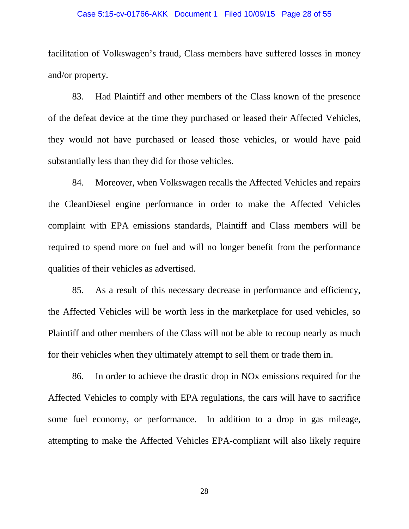### Case 5:15-cv-01766-AKK Document 1 Filed 10/09/15 Page 28 of 55

facilitation of Volkswagen's fraud, Class members have suffered losses in money and/or property.

83. Had Plaintiff and other members of the Class known of the presence of the defeat device at the time they purchased or leased their Affected Vehicles, they would not have purchased or leased those vehicles, or would have paid substantially less than they did for those vehicles.

84. Moreover, when Volkswagen recalls the Affected Vehicles and repairs the CleanDiesel engine performance in order to make the Affected Vehicles complaint with EPA emissions standards, Plaintiff and Class members will be required to spend more on fuel and will no longer benefit from the performance qualities of their vehicles as advertised.

85. As a result of this necessary decrease in performance and efficiency, the Affected Vehicles will be worth less in the marketplace for used vehicles, so Plaintiff and other members of the Class will not be able to recoup nearly as much for their vehicles when they ultimately attempt to sell them or trade them in.

86. In order to achieve the drastic drop in NOx emissions required for the Affected Vehicles to comply with EPA regulations, the cars will have to sacrifice some fuel economy, or performance. In addition to a drop in gas mileage, attempting to make the Affected Vehicles EPA-compliant will also likely require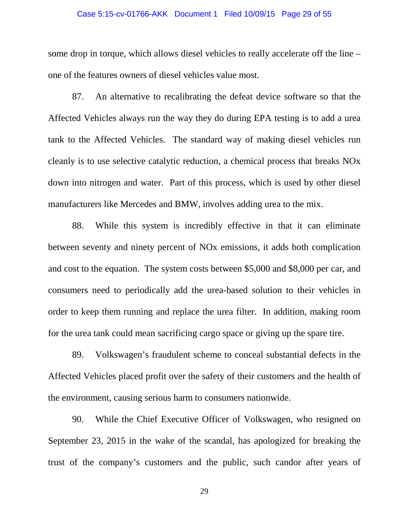### Case 5:15-cv-01766-AKK Document 1 Filed 10/09/15 Page 29 of 55

some drop in torque, which allows diesel vehicles to really accelerate off the line – one of the features owners of diesel vehicles value most.

87. An alternative to recalibrating the defeat device software so that the Affected Vehicles always run the way they do during EPA testing is to add a urea tank to the Affected Vehicles. The standard way of making diesel vehicles run cleanly is to use selective catalytic reduction, a chemical process that breaks NOx down into nitrogen and water. Part of this process, which is used by other diesel manufacturers like Mercedes and BMW, involves adding urea to the mix.

88. While this system is incredibly effective in that it can eliminate between seventy and ninety percent of NOx emissions, it adds both complication and cost to the equation. The system costs between \$5,000 and \$8,000 per car, and consumers need to periodically add the urea-based solution to their vehicles in order to keep them running and replace the urea filter. In addition, making room for the urea tank could mean sacrificing cargo space or giving up the spare tire.

89. Volkswagen's fraudulent scheme to conceal substantial defects in the Affected Vehicles placed profit over the safety of their customers and the health of the environment, causing serious harm to consumers nationwide.

90. While the Chief Executive Officer of Volkswagen, who resigned on September 23, 2015 in the wake of the scandal, has apologized for breaking the trust of the company's customers and the public, such candor after years of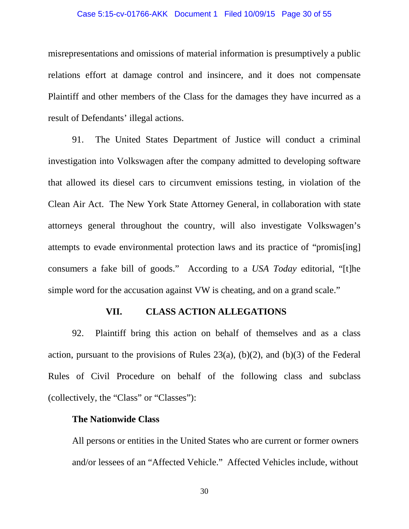### Case 5:15-cv-01766-AKK Document 1 Filed 10/09/15 Page 30 of 55

misrepresentations and omissions of material information is presumptively a public relations effort at damage control and insincere, and it does not compensate Plaintiff and other members of the Class for the damages they have incurred as a result of Defendants' illegal actions.

91. The United States Department of Justice will conduct a criminal investigation into Volkswagen after the company admitted to developing software that allowed its diesel cars to circumvent emissions testing, in violation of the Clean Air Act. The New York State Attorney General, in collaboration with state attorneys general throughout the country, will also investigate Volkswagen's attempts to evade environmental protection laws and its practice of "promis[ing] consumers a fake bill of goods." According to a *USA Today* editorial, "[t]he simple word for the accusation against VW is cheating, and on a grand scale."

### **VII. CLASS ACTION ALLEGATIONS**

92. Plaintiff bring this action on behalf of themselves and as a class action, pursuant to the provisions of Rules  $23(a)$ ,  $(b)(2)$ , and  $(b)(3)$  of the Federal Rules of Civil Procedure on behalf of the following class and subclass (collectively, the "Class" or "Classes"):

### **The Nationwide Class**

All persons or entities in the United States who are current or former owners and/or lessees of an "Affected Vehicle." Affected Vehicles include, without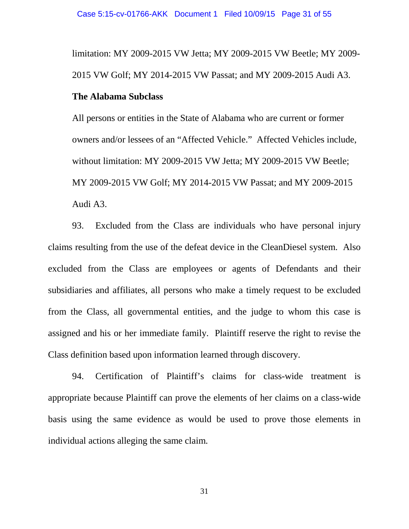limitation: MY 2009-2015 VW Jetta; MY 2009-2015 VW Beetle; MY 2009- 2015 VW Golf; MY 2014-2015 VW Passat; and MY 2009-2015 Audi A3.

## **The Alabama Subclass**

All persons or entities in the State of Alabama who are current or former owners and/or lessees of an "Affected Vehicle." Affected Vehicles include, without limitation: MY 2009-2015 VW Jetta; MY 2009-2015 VW Beetle; MY 2009-2015 VW Golf; MY 2014-2015 VW Passat; and MY 2009-2015 Audi A3.

93. Excluded from the Class are individuals who have personal injury claims resulting from the use of the defeat device in the CleanDiesel system. Also excluded from the Class are employees or agents of Defendants and their subsidiaries and affiliates, all persons who make a timely request to be excluded from the Class, all governmental entities, and the judge to whom this case is assigned and his or her immediate family. Plaintiff reserve the right to revise the Class definition based upon information learned through discovery.

94. Certification of Plaintiff's claims for class-wide treatment is appropriate because Plaintiff can prove the elements of her claims on a class-wide basis using the same evidence as would be used to prove those elements in individual actions alleging the same claim.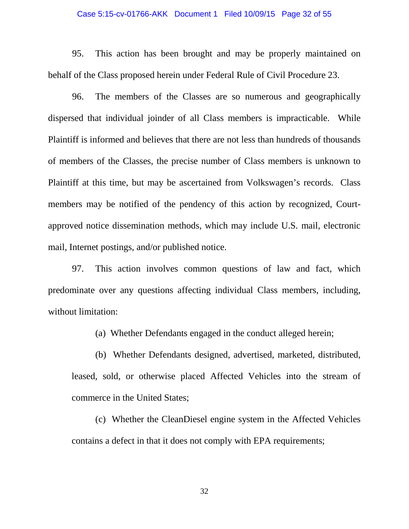### Case 5:15-cv-01766-AKK Document 1 Filed 10/09/15 Page 32 of 55

95. This action has been brought and may be properly maintained on behalf of the Class proposed herein under Federal Rule of Civil Procedure 23.

96. The members of the Classes are so numerous and geographically dispersed that individual joinder of all Class members is impracticable. While Plaintiff is informed and believes that there are not less than hundreds of thousands of members of the Classes, the precise number of Class members is unknown to Plaintiff at this time, but may be ascertained from Volkswagen's records. Class members may be notified of the pendency of this action by recognized, Courtapproved notice dissemination methods, which may include U.S. mail, electronic mail, Internet postings, and/or published notice.

97. This action involves common questions of law and fact, which predominate over any questions affecting individual Class members, including, without limitation:

(a) Whether Defendants engaged in the conduct alleged herein;

(b) Whether Defendants designed, advertised, marketed, distributed,

leased, sold, or otherwise placed Affected Vehicles into the stream of commerce in the United States;

(c) Whether the CleanDiesel engine system in the Affected Vehicles contains a defect in that it does not comply with EPA requirements;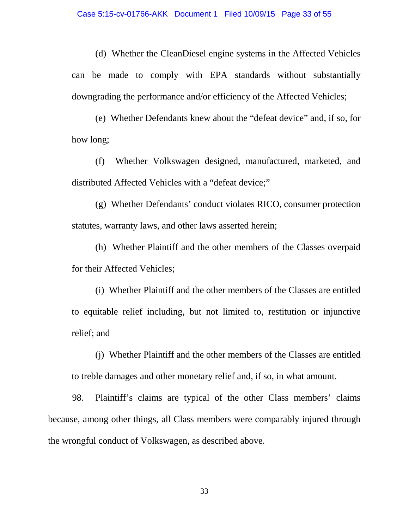(d) Whether the CleanDiesel engine systems in the Affected Vehicles can be made to comply with EPA standards without substantially downgrading the performance and/or efficiency of the Affected Vehicles;

(e) Whether Defendants knew about the "defeat device" and, if so, for how long;

(f) Whether Volkswagen designed, manufactured, marketed, and distributed Affected Vehicles with a "defeat device;"

(g) Whether Defendants' conduct violates RICO, consumer protection statutes, warranty laws, and other laws asserted herein;

(h) Whether Plaintiff and the other members of the Classes overpaid for their Affected Vehicles;

(i) Whether Plaintiff and the other members of the Classes are entitled to equitable relief including, but not limited to, restitution or injunctive relief; and

(j) Whether Plaintiff and the other members of the Classes are entitled to treble damages and other monetary relief and, if so, in what amount.

98. Plaintiff's claims are typical of the other Class members' claims because, among other things, all Class members were comparably injured through the wrongful conduct of Volkswagen, as described above.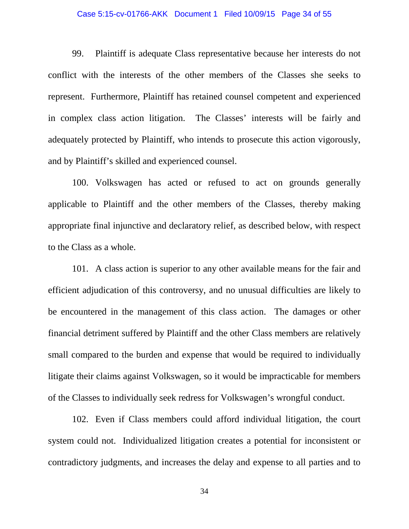### Case 5:15-cv-01766-AKK Document 1 Filed 10/09/15 Page 34 of 55

99. Plaintiff is adequate Class representative because her interests do not conflict with the interests of the other members of the Classes she seeks to represent. Furthermore, Plaintiff has retained counsel competent and experienced in complex class action litigation. The Classes' interests will be fairly and adequately protected by Plaintiff, who intends to prosecute this action vigorously, and by Plaintiff's skilled and experienced counsel.

100. Volkswagen has acted or refused to act on grounds generally applicable to Plaintiff and the other members of the Classes, thereby making appropriate final injunctive and declaratory relief, as described below, with respect to the Class as a whole.

101. A class action is superior to any other available means for the fair and efficient adjudication of this controversy, and no unusual difficulties are likely to be encountered in the management of this class action. The damages or other financial detriment suffered by Plaintiff and the other Class members are relatively small compared to the burden and expense that would be required to individually litigate their claims against Volkswagen, so it would be impracticable for members of the Classes to individually seek redress for Volkswagen's wrongful conduct.

102. Even if Class members could afford individual litigation, the court system could not. Individualized litigation creates a potential for inconsistent or contradictory judgments, and increases the delay and expense to all parties and to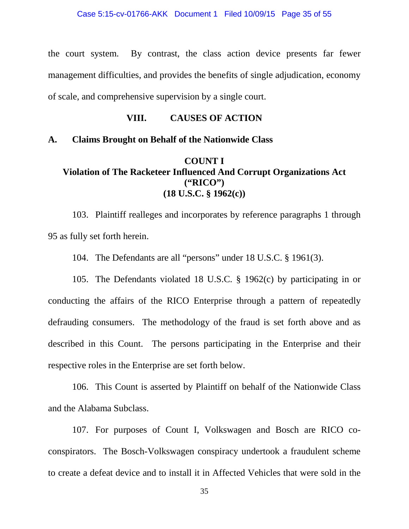the court system. By contrast, the class action device presents far fewer management difficulties, and provides the benefits of single adjudication, economy of scale, and comprehensive supervision by a single court.

### **VIII. CAUSES OF ACTION**

### **A. Claims Brought on Behalf of the Nationwide Class**

## **COUNT I Violation of The Racketeer Influenced And Corrupt Organizations Act ("RICO") (18 U.S.C. § 1962(c))**

103. Plaintiff realleges and incorporates by reference paragraphs 1 through 95 as fully set forth herein.

104. The Defendants are all "persons" under 18 U.S.C. § 1961(3).

105. The Defendants violated 18 U.S.C. § 1962(c) by participating in or conducting the affairs of the RICO Enterprise through a pattern of repeatedly defrauding consumers. The methodology of the fraud is set forth above and as described in this Count. The persons participating in the Enterprise and their respective roles in the Enterprise are set forth below.

106. This Count is asserted by Plaintiff on behalf of the Nationwide Class and the Alabama Subclass.

107. For purposes of Count I, Volkswagen and Bosch are RICO coconspirators. The Bosch-Volkswagen conspiracy undertook a fraudulent scheme to create a defeat device and to install it in Affected Vehicles that were sold in the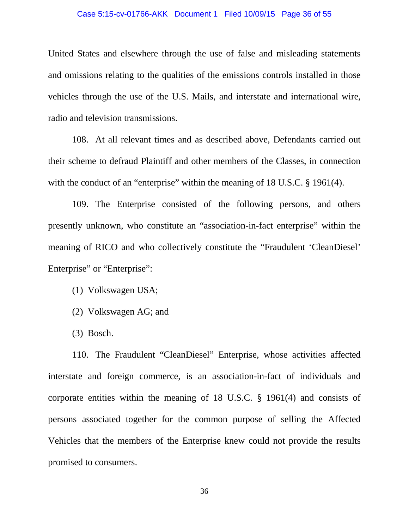### Case 5:15-cv-01766-AKK Document 1 Filed 10/09/15 Page 36 of 55

United States and elsewhere through the use of false and misleading statements and omissions relating to the qualities of the emissions controls installed in those vehicles through the use of the U.S. Mails, and interstate and international wire, radio and television transmissions.

108. At all relevant times and as described above, Defendants carried out their scheme to defraud Plaintiff and other members of the Classes, in connection with the conduct of an "enterprise" within the meaning of 18 U.S.C. § 1961(4).

109. The Enterprise consisted of the following persons, and others presently unknown, who constitute an "association-in-fact enterprise" within the meaning of RICO and who collectively constitute the "Fraudulent 'CleanDiesel' Enterprise" or "Enterprise":

- (1) Volkswagen USA;
- (2) Volkswagen AG; and
- (3) Bosch.

110. The Fraudulent "CleanDiesel" Enterprise, whose activities affected interstate and foreign commerce, is an association-in-fact of individuals and corporate entities within the meaning of 18 U.S.C. § 1961(4) and consists of persons associated together for the common purpose of selling the Affected Vehicles that the members of the Enterprise knew could not provide the results promised to consumers.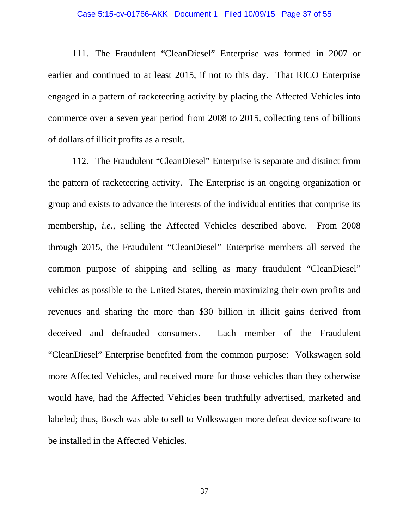### Case 5:15-cv-01766-AKK Document 1 Filed 10/09/15 Page 37 of 55

111. The Fraudulent "CleanDiesel" Enterprise was formed in 2007 or earlier and continued to at least 2015, if not to this day. That RICO Enterprise engaged in a pattern of racketeering activity by placing the Affected Vehicles into commerce over a seven year period from 2008 to 2015, collecting tens of billions of dollars of illicit profits as a result.

112. The Fraudulent "CleanDiesel" Enterprise is separate and distinct from the pattern of racketeering activity. The Enterprise is an ongoing organization or group and exists to advance the interests of the individual entities that comprise its membership, *i.e.*, selling the Affected Vehicles described above. From 2008 through 2015, the Fraudulent "CleanDiesel" Enterprise members all served the common purpose of shipping and selling as many fraudulent "CleanDiesel" vehicles as possible to the United States, therein maximizing their own profits and revenues and sharing the more than \$30 billion in illicit gains derived from deceived and defrauded consumers. Each member of the Fraudulent "CleanDiesel" Enterprise benefited from the common purpose: Volkswagen sold more Affected Vehicles, and received more for those vehicles than they otherwise would have, had the Affected Vehicles been truthfully advertised, marketed and labeled; thus, Bosch was able to sell to Volkswagen more defeat device software to be installed in the Affected Vehicles.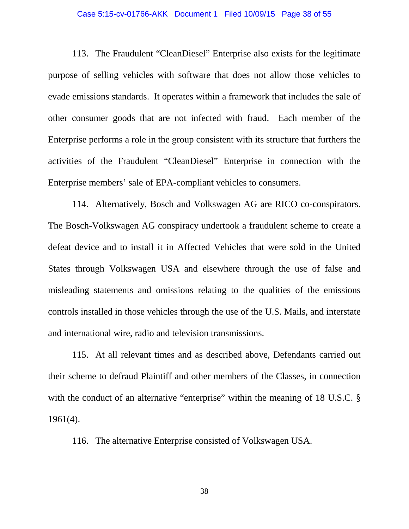### Case 5:15-cv-01766-AKK Document 1 Filed 10/09/15 Page 38 of 55

113. The Fraudulent "CleanDiesel" Enterprise also exists for the legitimate purpose of selling vehicles with software that does not allow those vehicles to evade emissions standards. It operates within a framework that includes the sale of other consumer goods that are not infected with fraud. Each member of the Enterprise performs a role in the group consistent with its structure that furthers the activities of the Fraudulent "CleanDiesel" Enterprise in connection with the Enterprise members' sale of EPA-compliant vehicles to consumers.

114. Alternatively, Bosch and Volkswagen AG are RICO co-conspirators. The Bosch-Volkswagen AG conspiracy undertook a fraudulent scheme to create a defeat device and to install it in Affected Vehicles that were sold in the United States through Volkswagen USA and elsewhere through the use of false and misleading statements and omissions relating to the qualities of the emissions controls installed in those vehicles through the use of the U.S. Mails, and interstate and international wire, radio and television transmissions.

115. At all relevant times and as described above, Defendants carried out their scheme to defraud Plaintiff and other members of the Classes, in connection with the conduct of an alternative "enterprise" within the meaning of 18 U.S.C. § 1961(4).

116. The alternative Enterprise consisted of Volkswagen USA.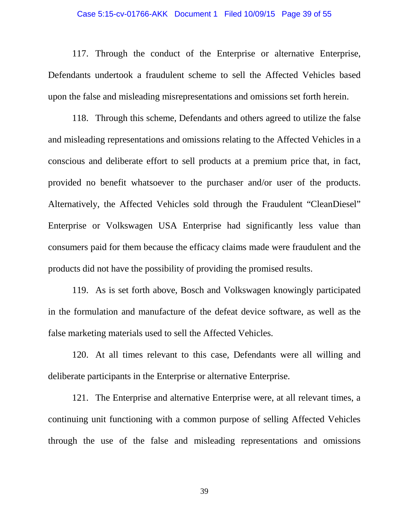### Case 5:15-cv-01766-AKK Document 1 Filed 10/09/15 Page 39 of 55

117. Through the conduct of the Enterprise or alternative Enterprise, Defendants undertook a fraudulent scheme to sell the Affected Vehicles based upon the false and misleading misrepresentations and omissions set forth herein.

118. Through this scheme, Defendants and others agreed to utilize the false and misleading representations and omissions relating to the Affected Vehicles in a conscious and deliberate effort to sell products at a premium price that, in fact, provided no benefit whatsoever to the purchaser and/or user of the products. Alternatively, the Affected Vehicles sold through the Fraudulent "CleanDiesel" Enterprise or Volkswagen USA Enterprise had significantly less value than consumers paid for them because the efficacy claims made were fraudulent and the products did not have the possibility of providing the promised results.

119. As is set forth above, Bosch and Volkswagen knowingly participated in the formulation and manufacture of the defeat device software, as well as the false marketing materials used to sell the Affected Vehicles.

120. At all times relevant to this case, Defendants were all willing and deliberate participants in the Enterprise or alternative Enterprise.

121. The Enterprise and alternative Enterprise were, at all relevant times, a continuing unit functioning with a common purpose of selling Affected Vehicles through the use of the false and misleading representations and omissions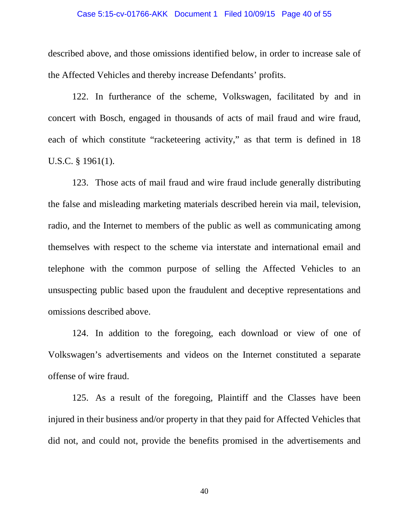### Case 5:15-cv-01766-AKK Document 1 Filed 10/09/15 Page 40 of 55

described above, and those omissions identified below, in order to increase sale of the Affected Vehicles and thereby increase Defendants' profits.

122. In furtherance of the scheme, Volkswagen, facilitated by and in concert with Bosch, engaged in thousands of acts of mail fraud and wire fraud, each of which constitute "racketeering activity," as that term is defined in 18 U.S.C. § 1961(1).

123. Those acts of mail fraud and wire fraud include generally distributing the false and misleading marketing materials described herein via mail, television, radio, and the Internet to members of the public as well as communicating among themselves with respect to the scheme via interstate and international email and telephone with the common purpose of selling the Affected Vehicles to an unsuspecting public based upon the fraudulent and deceptive representations and omissions described above.

124. In addition to the foregoing, each download or view of one of Volkswagen's advertisements and videos on the Internet constituted a separate offense of wire fraud.

125. As a result of the foregoing, Plaintiff and the Classes have been injured in their business and/or property in that they paid for Affected Vehicles that did not, and could not, provide the benefits promised in the advertisements and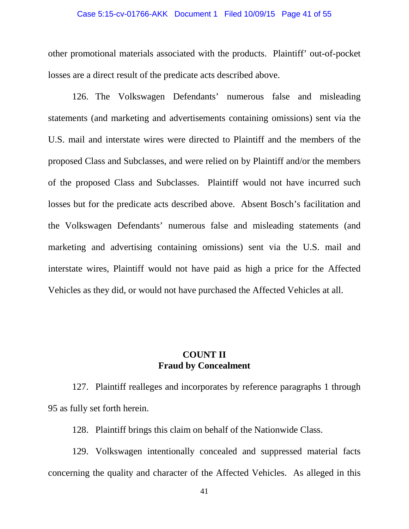### Case 5:15-cv-01766-AKK Document 1 Filed 10/09/15 Page 41 of 55

other promotional materials associated with the products. Plaintiff' out-of-pocket losses are a direct result of the predicate acts described above.

126. The Volkswagen Defendants' numerous false and misleading statements (and marketing and advertisements containing omissions) sent via the U.S. mail and interstate wires were directed to Plaintiff and the members of the proposed Class and Subclasses, and were relied on by Plaintiff and/or the members of the proposed Class and Subclasses. Plaintiff would not have incurred such losses but for the predicate acts described above. Absent Bosch's facilitation and the Volkswagen Defendants' numerous false and misleading statements (and marketing and advertising containing omissions) sent via the U.S. mail and interstate wires, Plaintiff would not have paid as high a price for the Affected Vehicles as they did, or would not have purchased the Affected Vehicles at all.

## **COUNT II Fraud by Concealment**

127. Plaintiff realleges and incorporates by reference paragraphs 1 through 95 as fully set forth herein.

128. Plaintiff brings this claim on behalf of the Nationwide Class.

129. Volkswagen intentionally concealed and suppressed material facts concerning the quality and character of the Affected Vehicles. As alleged in this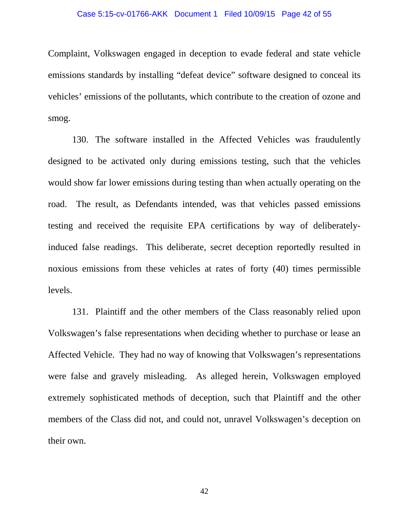### Case 5:15-cv-01766-AKK Document 1 Filed 10/09/15 Page 42 of 55

Complaint, Volkswagen engaged in deception to evade federal and state vehicle emissions standards by installing "defeat device" software designed to conceal its vehicles' emissions of the pollutants, which contribute to the creation of ozone and smog.

130. The software installed in the Affected Vehicles was fraudulently designed to be activated only during emissions testing, such that the vehicles would show far lower emissions during testing than when actually operating on the road. The result, as Defendants intended, was that vehicles passed emissions testing and received the requisite EPA certifications by way of deliberatelyinduced false readings. This deliberate, secret deception reportedly resulted in noxious emissions from these vehicles at rates of forty (40) times permissible levels.

131. Plaintiff and the other members of the Class reasonably relied upon Volkswagen's false representations when deciding whether to purchase or lease an Affected Vehicle. They had no way of knowing that Volkswagen's representations were false and gravely misleading. As alleged herein, Volkswagen employed extremely sophisticated methods of deception, such that Plaintiff and the other members of the Class did not, and could not, unravel Volkswagen's deception on their own.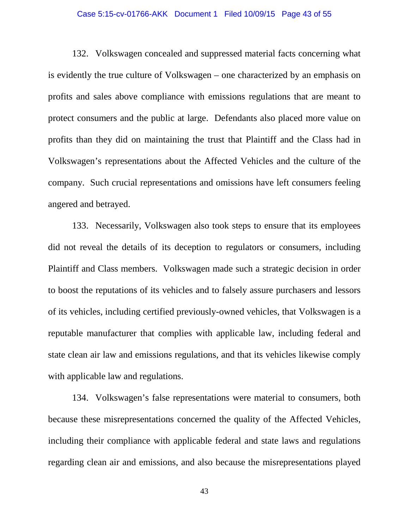### Case 5:15-cv-01766-AKK Document 1 Filed 10/09/15 Page 43 of 55

132. Volkswagen concealed and suppressed material facts concerning what is evidently the true culture of Volkswagen – one characterized by an emphasis on profits and sales above compliance with emissions regulations that are meant to protect consumers and the public at large. Defendants also placed more value on profits than they did on maintaining the trust that Plaintiff and the Class had in Volkswagen's representations about the Affected Vehicles and the culture of the company. Such crucial representations and omissions have left consumers feeling angered and betrayed.

133. Necessarily, Volkswagen also took steps to ensure that its employees did not reveal the details of its deception to regulators or consumers, including Plaintiff and Class members. Volkswagen made such a strategic decision in order to boost the reputations of its vehicles and to falsely assure purchasers and lessors of its vehicles, including certified previously-owned vehicles, that Volkswagen is a reputable manufacturer that complies with applicable law, including federal and state clean air law and emissions regulations, and that its vehicles likewise comply with applicable law and regulations.

134. Volkswagen's false representations were material to consumers, both because these misrepresentations concerned the quality of the Affected Vehicles, including their compliance with applicable federal and state laws and regulations regarding clean air and emissions, and also because the misrepresentations played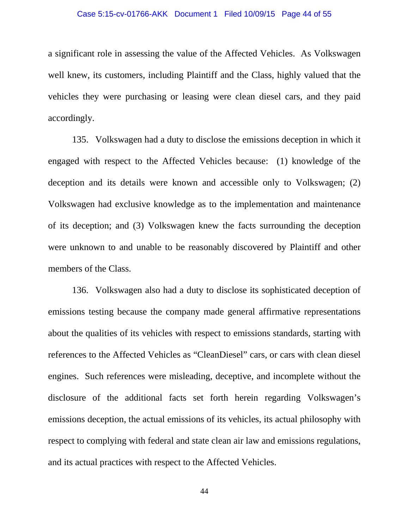### Case 5:15-cv-01766-AKK Document 1 Filed 10/09/15 Page 44 of 55

a significant role in assessing the value of the Affected Vehicles. As Volkswagen well knew, its customers, including Plaintiff and the Class, highly valued that the vehicles they were purchasing or leasing were clean diesel cars, and they paid accordingly.

135. Volkswagen had a duty to disclose the emissions deception in which it engaged with respect to the Affected Vehicles because: (1) knowledge of the deception and its details were known and accessible only to Volkswagen; (2) Volkswagen had exclusive knowledge as to the implementation and maintenance of its deception; and (3) Volkswagen knew the facts surrounding the deception were unknown to and unable to be reasonably discovered by Plaintiff and other members of the Class.

136. Volkswagen also had a duty to disclose its sophisticated deception of emissions testing because the company made general affirmative representations about the qualities of its vehicles with respect to emissions standards, starting with references to the Affected Vehicles as "CleanDiesel" cars, or cars with clean diesel engines. Such references were misleading, deceptive, and incomplete without the disclosure of the additional facts set forth herein regarding Volkswagen's emissions deception, the actual emissions of its vehicles, its actual philosophy with respect to complying with federal and state clean air law and emissions regulations, and its actual practices with respect to the Affected Vehicles.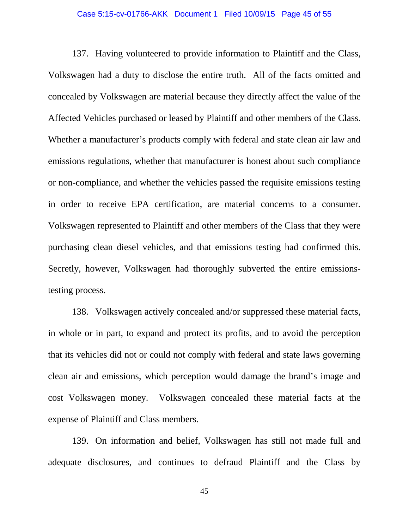### Case 5:15-cv-01766-AKK Document 1 Filed 10/09/15 Page 45 of 55

137. Having volunteered to provide information to Plaintiff and the Class, Volkswagen had a duty to disclose the entire truth. All of the facts omitted and concealed by Volkswagen are material because they directly affect the value of the Affected Vehicles purchased or leased by Plaintiff and other members of the Class. Whether a manufacturer's products comply with federal and state clean air law and emissions regulations, whether that manufacturer is honest about such compliance or non-compliance, and whether the vehicles passed the requisite emissions testing in order to receive EPA certification, are material concerns to a consumer. Volkswagen represented to Plaintiff and other members of the Class that they were purchasing clean diesel vehicles, and that emissions testing had confirmed this. Secretly, however, Volkswagen had thoroughly subverted the entire emissionstesting process.

138. Volkswagen actively concealed and/or suppressed these material facts, in whole or in part, to expand and protect its profits, and to avoid the perception that its vehicles did not or could not comply with federal and state laws governing clean air and emissions, which perception would damage the brand's image and cost Volkswagen money. Volkswagen concealed these material facts at the expense of Plaintiff and Class members.

139. On information and belief, Volkswagen has still not made full and adequate disclosures, and continues to defraud Plaintiff and the Class by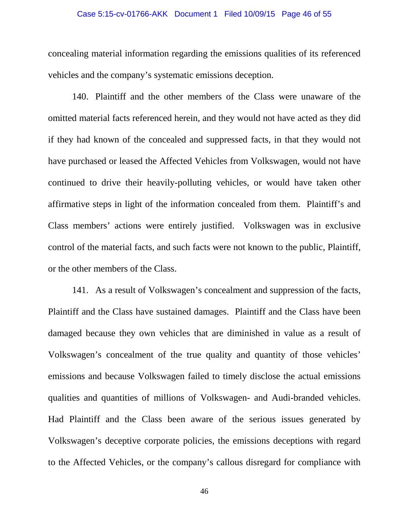### Case 5:15-cv-01766-AKK Document 1 Filed 10/09/15 Page 46 of 55

concealing material information regarding the emissions qualities of its referenced vehicles and the company's systematic emissions deception.

140. Plaintiff and the other members of the Class were unaware of the omitted material facts referenced herein, and they would not have acted as they did if they had known of the concealed and suppressed facts, in that they would not have purchased or leased the Affected Vehicles from Volkswagen, would not have continued to drive their heavily-polluting vehicles, or would have taken other affirmative steps in light of the information concealed from them. Plaintiff's and Class members' actions were entirely justified. Volkswagen was in exclusive control of the material facts, and such facts were not known to the public, Plaintiff, or the other members of the Class.

141. As a result of Volkswagen's concealment and suppression of the facts, Plaintiff and the Class have sustained damages. Plaintiff and the Class have been damaged because they own vehicles that are diminished in value as a result of Volkswagen's concealment of the true quality and quantity of those vehicles' emissions and because Volkswagen failed to timely disclose the actual emissions qualities and quantities of millions of Volkswagen- and Audi-branded vehicles. Had Plaintiff and the Class been aware of the serious issues generated by Volkswagen's deceptive corporate policies, the emissions deceptions with regard to the Affected Vehicles, or the company's callous disregard for compliance with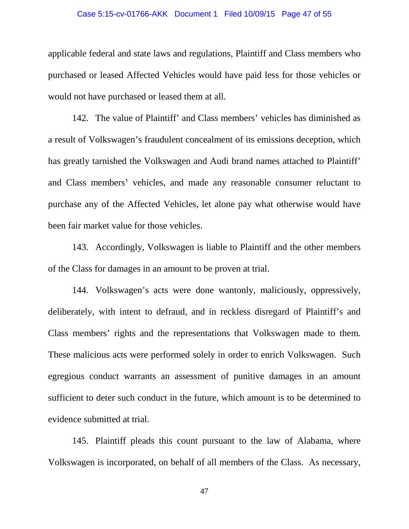### Case 5:15-cv-01766-AKK Document 1 Filed 10/09/15 Page 47 of 55

applicable federal and state laws and regulations, Plaintiff and Class members who purchased or leased Affected Vehicles would have paid less for those vehicles or would not have purchased or leased them at all.

142. The value of Plaintiff' and Class members' vehicles has diminished as a result of Volkswagen's fraudulent concealment of its emissions deception, which has greatly tarnished the Volkswagen and Audi brand names attached to Plaintiff' and Class members' vehicles, and made any reasonable consumer reluctant to purchase any of the Affected Vehicles, let alone pay what otherwise would have been fair market value for those vehicles.

143. Accordingly, Volkswagen is liable to Plaintiff and the other members of the Class for damages in an amount to be proven at trial.

144. Volkswagen's acts were done wantonly, maliciously, oppressively, deliberately, with intent to defraud, and in reckless disregard of Plaintiff's and Class members' rights and the representations that Volkswagen made to them. These malicious acts were performed solely in order to enrich Volkswagen. Such egregious conduct warrants an assessment of punitive damages in an amount sufficient to deter such conduct in the future, which amount is to be determined to evidence submitted at trial.

145. Plaintiff pleads this count pursuant to the law of Alabama, where Volkswagen is incorporated, on behalf of all members of the Class. As necessary,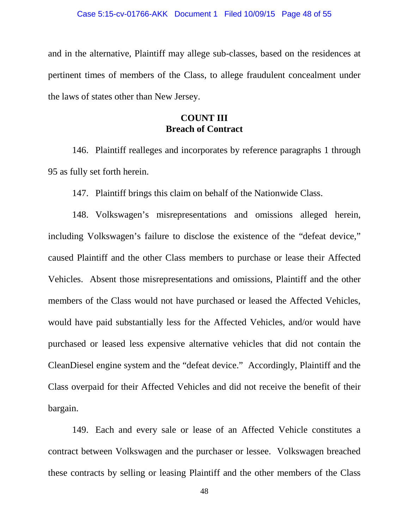and in the alternative, Plaintiff may allege sub-classes, based on the residences at pertinent times of members of the Class, to allege fraudulent concealment under the laws of states other than New Jersey.

## **COUNT III Breach of Contract**

146. Plaintiff realleges and incorporates by reference paragraphs 1 through 95 as fully set forth herein.

147. Plaintiff brings this claim on behalf of the Nationwide Class.

148. Volkswagen's misrepresentations and omissions alleged herein, including Volkswagen's failure to disclose the existence of the "defeat device," caused Plaintiff and the other Class members to purchase or lease their Affected Vehicles. Absent those misrepresentations and omissions, Plaintiff and the other members of the Class would not have purchased or leased the Affected Vehicles, would have paid substantially less for the Affected Vehicles, and/or would have purchased or leased less expensive alternative vehicles that did not contain the CleanDiesel engine system and the "defeat device." Accordingly, Plaintiff and the Class overpaid for their Affected Vehicles and did not receive the benefit of their bargain.

149. Each and every sale or lease of an Affected Vehicle constitutes a contract between Volkswagen and the purchaser or lessee. Volkswagen breached these contracts by selling or leasing Plaintiff and the other members of the Class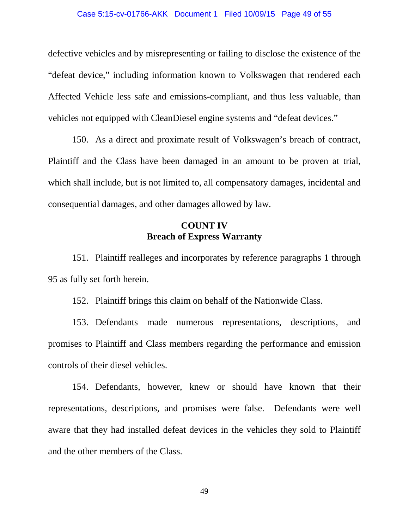### Case 5:15-cv-01766-AKK Document 1 Filed 10/09/15 Page 49 of 55

defective vehicles and by misrepresenting or failing to disclose the existence of the "defeat device," including information known to Volkswagen that rendered each Affected Vehicle less safe and emissions-compliant, and thus less valuable, than vehicles not equipped with CleanDiesel engine systems and "defeat devices."

150. As a direct and proximate result of Volkswagen's breach of contract, Plaintiff and the Class have been damaged in an amount to be proven at trial, which shall include, but is not limited to, all compensatory damages, incidental and consequential damages, and other damages allowed by law.

## **COUNT IV Breach of Express Warranty**

151. Plaintiff realleges and incorporates by reference paragraphs 1 through 95 as fully set forth herein.

152. Plaintiff brings this claim on behalf of the Nationwide Class.

153. Defendants made numerous representations, descriptions, and promises to Plaintiff and Class members regarding the performance and emission controls of their diesel vehicles.

154. Defendants, however, knew or should have known that their representations, descriptions, and promises were false. Defendants were well aware that they had installed defeat devices in the vehicles they sold to Plaintiff and the other members of the Class.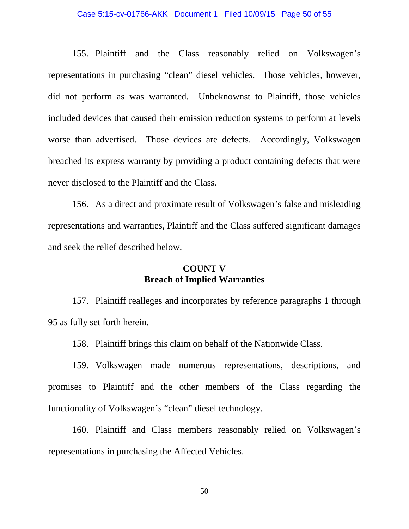### Case 5:15-cv-01766-AKK Document 1 Filed 10/09/15 Page 50 of 55

155. Plaintiff and the Class reasonably relied on Volkswagen's representations in purchasing "clean" diesel vehicles. Those vehicles, however, did not perform as was warranted. Unbeknownst to Plaintiff, those vehicles included devices that caused their emission reduction systems to perform at levels worse than advertised. Those devices are defects. Accordingly, Volkswagen breached its express warranty by providing a product containing defects that were never disclosed to the Plaintiff and the Class.

156. As a direct and proximate result of Volkswagen's false and misleading representations and warranties, Plaintiff and the Class suffered significant damages and seek the relief described below.

## **COUNT V Breach of Implied Warranties**

157. Plaintiff realleges and incorporates by reference paragraphs 1 through 95 as fully set forth herein.

158. Plaintiff brings this claim on behalf of the Nationwide Class.

159. Volkswagen made numerous representations, descriptions, and promises to Plaintiff and the other members of the Class regarding the functionality of Volkswagen's "clean" diesel technology.

160. Plaintiff and Class members reasonably relied on Volkswagen's representations in purchasing the Affected Vehicles.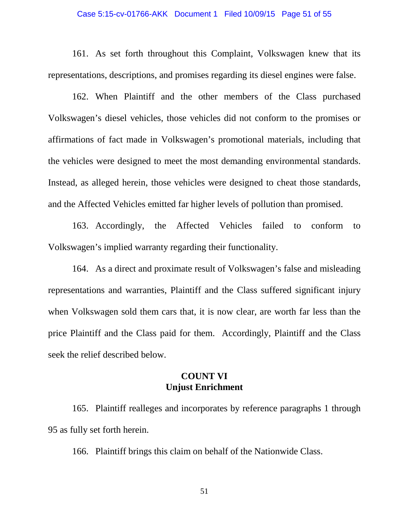### Case 5:15-cv-01766-AKK Document 1 Filed 10/09/15 Page 51 of 55

161. As set forth throughout this Complaint, Volkswagen knew that its representations, descriptions, and promises regarding its diesel engines were false.

162. When Plaintiff and the other members of the Class purchased Volkswagen's diesel vehicles, those vehicles did not conform to the promises or affirmations of fact made in Volkswagen's promotional materials, including that the vehicles were designed to meet the most demanding environmental standards. Instead, as alleged herein, those vehicles were designed to cheat those standards, and the Affected Vehicles emitted far higher levels of pollution than promised.

163. Accordingly, the Affected Vehicles failed to conform to Volkswagen's implied warranty regarding their functionality.

164. As a direct and proximate result of Volkswagen's false and misleading representations and warranties, Plaintiff and the Class suffered significant injury when Volkswagen sold them cars that, it is now clear, are worth far less than the price Plaintiff and the Class paid for them. Accordingly, Plaintiff and the Class seek the relief described below.

## **COUNT VI Unjust Enrichment**

165. Plaintiff realleges and incorporates by reference paragraphs 1 through 95 as fully set forth herein.

166. Plaintiff brings this claim on behalf of the Nationwide Class.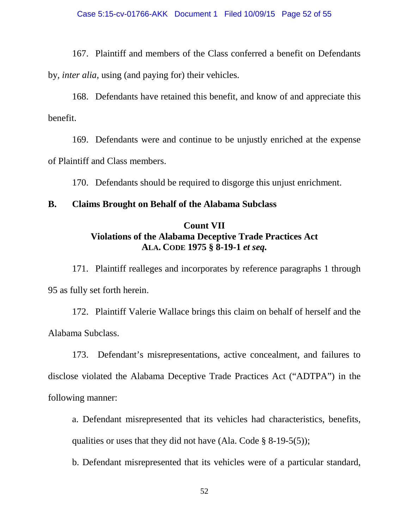167. Plaintiff and members of the Class conferred a benefit on Defendants by, *inter alia*, using (and paying for) their vehicles.

168. Defendants have retained this benefit, and know of and appreciate this benefit.

169. Defendants were and continue to be unjustly enriched at the expense of Plaintiff and Class members.

170. Defendants should be required to disgorge this unjust enrichment.

## **B. Claims Brought on Behalf of the Alabama Subclass**

## **Count VII Violations of the Alabama Deceptive Trade Practices Act ALA. CODE 1975 § 8-19-1** *et seq.*

171. Plaintiff realleges and incorporates by reference paragraphs 1 through 95 as fully set forth herein.

172. Plaintiff Valerie Wallace brings this claim on behalf of herself and the Alabama Subclass.

173. Defendant's misrepresentations, active concealment, and failures to disclose violated the Alabama Deceptive Trade Practices Act ("ADTPA") in the following manner:

a. Defendant misrepresented that its vehicles had characteristics, benefits, qualities or uses that they did not have (Ala. Code  $\S$  8-19-5(5));

b. Defendant misrepresented that its vehicles were of a particular standard,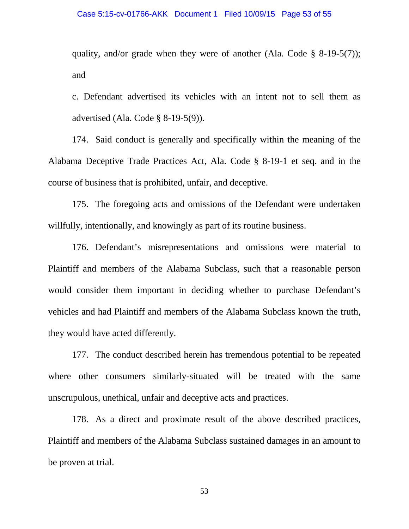### Case 5:15-cv-01766-AKK Document 1 Filed 10/09/15 Page 53 of 55

quality, and/or grade when they were of another (Ala. Code  $\S$  8-19-5(7)); and

c. Defendant advertised its vehicles with an intent not to sell them as advertised (Ala. Code § 8-19-5(9)).

174. Said conduct is generally and specifically within the meaning of the Alabama Deceptive Trade Practices Act, Ala. Code § 8-19-1 et seq. and in the course of business that is prohibited, unfair, and deceptive.

175. The foregoing acts and omissions of the Defendant were undertaken willfully, intentionally, and knowingly as part of its routine business.

176. Defendant's misrepresentations and omissions were material to Plaintiff and members of the Alabama Subclass, such that a reasonable person would consider them important in deciding whether to purchase Defendant's vehicles and had Plaintiff and members of the Alabama Subclass known the truth, they would have acted differently.

177. The conduct described herein has tremendous potential to be repeated where other consumers similarly-situated will be treated with the same unscrupulous, unethical, unfair and deceptive acts and practices.

178. As a direct and proximate result of the above described practices, Plaintiff and members of the Alabama Subclass sustained damages in an amount to be proven at trial.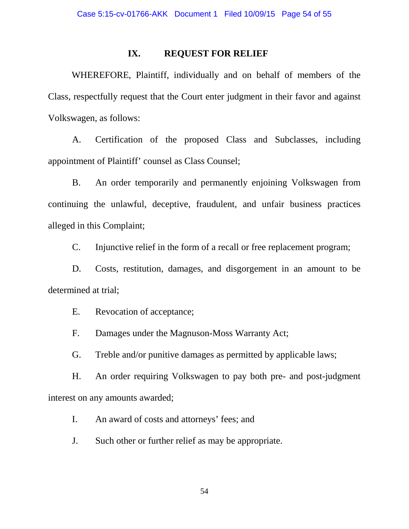### **IX. REQUEST FOR RELIEF**

WHEREFORE, Plaintiff, individually and on behalf of members of the Class, respectfully request that the Court enter judgment in their favor and against Volkswagen, as follows:

A. Certification of the proposed Class and Subclasses, including appointment of Plaintiff' counsel as Class Counsel;

B. An order temporarily and permanently enjoining Volkswagen from continuing the unlawful, deceptive, fraudulent, and unfair business practices alleged in this Complaint;

C. Injunctive relief in the form of a recall or free replacement program;

D. Costs, restitution, damages, and disgorgement in an amount to be determined at trial;

E. Revocation of acceptance;

F. Damages under the Magnuson-Moss Warranty Act;

G. Treble and/or punitive damages as permitted by applicable laws;

H. An order requiring Volkswagen to pay both pre- and post-judgment interest on any amounts awarded;

I. An award of costs and attorneys' fees; and

J. Such other or further relief as may be appropriate.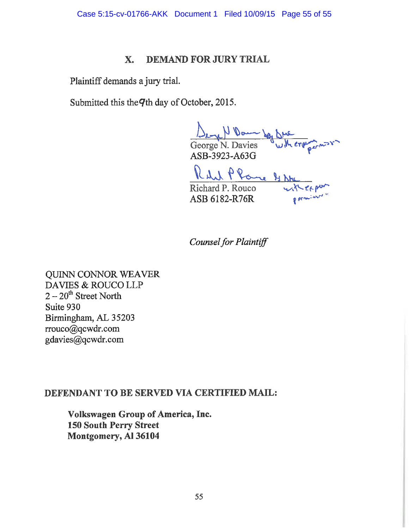Case 5:15-cv-01766-AKK Document 1 Filed 10/09/15 Page 55 of 55

#### **DEMAND FOR JURY TRIAL** X.

Plaintiff demands a jury trial.

Submitted this the 9th day of October, 2015.

George N. Davies W.Mergermon

ASB-3923-A63G

ASB-3923-A63G<br>Richard P. Rouco<br>ASB 6182-R76R porming Richard P. Rouco ASB 6182-R76R

**Counsel for Plaintiff** 

**QUINN CONNOR WEAVER** DAVIES & ROUCO LLP  $2-20^{\text{th}}$  Street North Suite 930 Birmingham, AL 35203 rrouco@qcwdr.com gdavies@qcwdr.com

# DEFENDANT TO BE SERVED VIA CERTIFIED MAIL:

Volkswagen Group of America, Inc. **150 South Perry Street** Montgomery, Al 36104